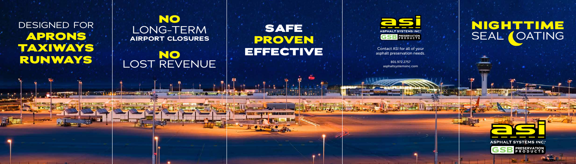# **SAFE PROVEN EFFECTIVE**



## **NO** LONG-TERM **AIRPORT CLOSURES**

## **NO** LOST REVENUE

**Sept. Littleman Marriage** 

ा जन्म

# DESIGNED FOR **APRONS TAXIWAYS RUNWAYS**

# **NIGHTTIME**  SEAL (OATING





Contact ASI for all of your asphalt preservation needs.

> 801.972.2757 asphaltsystemsinc.com